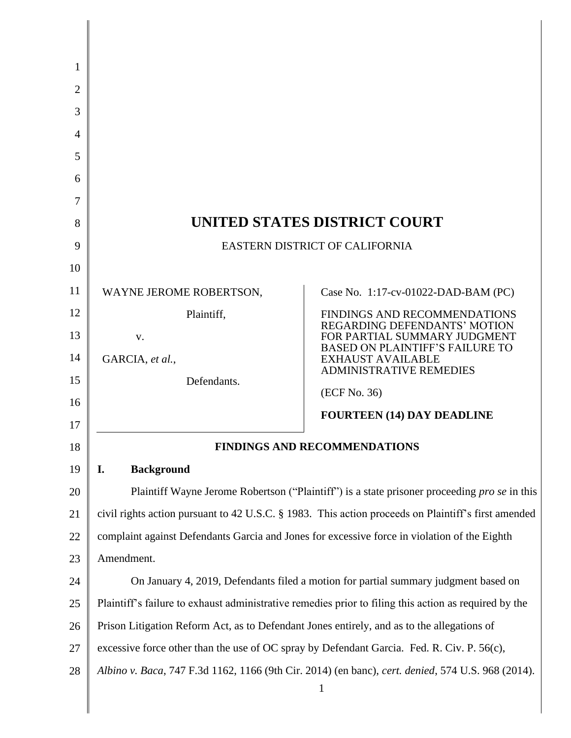| 1<br>2<br>3<br>4<br>5<br>6<br>7<br>8 |                                                                                            | UNITED STATES DISTRICT COURT                                                                                                                                                                               |
|--------------------------------------|--------------------------------------------------------------------------------------------|------------------------------------------------------------------------------------------------------------------------------------------------------------------------------------------------------------|
| 9                                    |                                                                                            | EASTERN DISTRICT OF CALIFORNIA                                                                                                                                                                             |
| 10                                   |                                                                                            |                                                                                                                                                                                                            |
| 11                                   | WAYNE JEROME ROBERTSON,                                                                    | Case No. 1:17-cv-01022-DAD-BAM (PC)                                                                                                                                                                        |
| 12                                   | Plaintiff,                                                                                 | <b>FINDINGS AND RECOMMENDATIONS</b><br><b>REGARDING DEFENDANTS' MOTION</b>                                                                                                                                 |
| 13                                   | V.                                                                                         | FOR PARTIAL SUMMARY JUDGMENT<br><b>BASED ON PLAINTIFF'S FAILURE TO</b>                                                                                                                                     |
| 14                                   | GARCIA, et al.,                                                                            | <b>EXHAUST AVAILABLE</b><br><b>ADMINISTRATIVE REMEDIES</b>                                                                                                                                                 |
| 15                                   | Defendants.                                                                                | (ECF No. 36)                                                                                                                                                                                               |
| 16                                   |                                                                                            | <b>FOURTEEN (14) DAY DEADLINE</b>                                                                                                                                                                          |
| 17                                   |                                                                                            |                                                                                                                                                                                                            |
| 18                                   |                                                                                            | <b>FINDINGS AND RECOMMENDATIONS</b>                                                                                                                                                                        |
| 19                                   | I.<br><b>Background</b>                                                                    |                                                                                                                                                                                                            |
| 20<br>21                             |                                                                                            | Plaintiff Wayne Jerome Robertson ("Plaintiff") is a state prisoner proceeding <i>pro se</i> in this<br>civil rights action pursuant to 42 U.S.C. § 1983. This action proceeds on Plaintiff's first amended |
| 22                                   |                                                                                            | complaint against Defendants Garcia and Jones for excessive force in violation of the Eighth                                                                                                               |
| 23                                   | Amendment.                                                                                 |                                                                                                                                                                                                            |
| 24                                   |                                                                                            | On January 4, 2019, Defendants filed a motion for partial summary judgment based on                                                                                                                        |
| 25                                   |                                                                                            | Plaintiff's failure to exhaust administrative remedies prior to filing this action as required by the                                                                                                      |
| 26                                   | Prison Litigation Reform Act, as to Defendant Jones entirely, and as to the allegations of |                                                                                                                                                                                                            |
| 27                                   |                                                                                            | excessive force other than the use of OC spray by Defendant Garcia. Fed. R. Civ. P. 56(c),                                                                                                                 |
| 28                                   |                                                                                            | Albino v. Baca, 747 F.3d 1162, 1166 (9th Cir. 2014) (en banc), cert. denied, 574 U.S. 968 (2014).                                                                                                          |
|                                      |                                                                                            | $\mathbf{1}$                                                                                                                                                                                               |
|                                      |                                                                                            |                                                                                                                                                                                                            |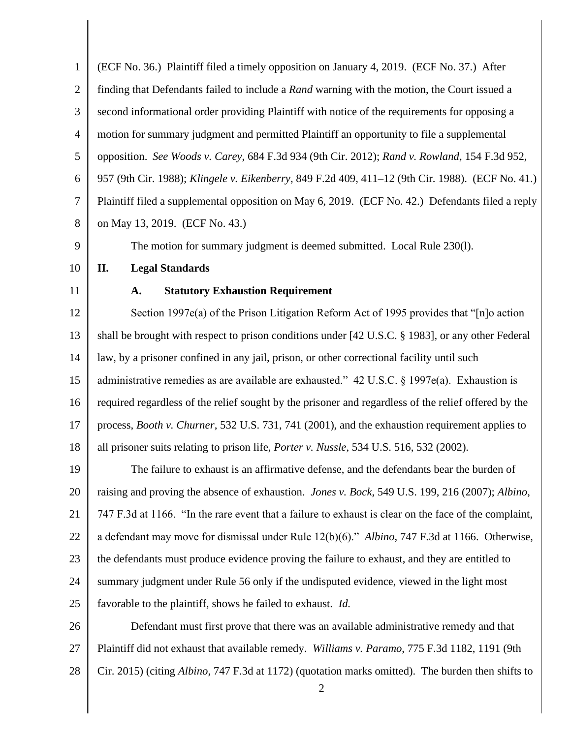1 2 3 4 5 6 7 8 9 10 11 12 13 14 15 16 17 18 19 20 21 22 23 24 25 26 27 28 2 (ECF No. 36.) Plaintiff filed a timely opposition on January 4, 2019. (ECF No. 37.) After finding that Defendants failed to include a *Rand* warning with the motion, the Court issued a second informational order providing Plaintiff with notice of the requirements for opposing a motion for summary judgment and permitted Plaintiff an opportunity to file a supplemental opposition. *See Woods v. Carey*, 684 F.3d 934 (9th Cir. 2012); *Rand v. Rowland*, 154 F.3d 952, 957 (9th Cir. 1988); *Klingele v. Eikenberry*, 849 F.2d 409, 411–12 (9th Cir. 1988). (ECF No. 41.) Plaintiff filed a supplemental opposition on May 6, 2019. (ECF No. 42.) Defendants filed a reply on May 13, 2019. (ECF No. 43.) The motion for summary judgment is deemed submitted. Local Rule 230(l). **II. Legal Standards A. Statutory Exhaustion Requirement** Section 1997e(a) of the Prison Litigation Reform Act of 1995 provides that "[n]o action shall be brought with respect to prison conditions under [42 U.S.C. § 1983], or any other Federal law, by a prisoner confined in any jail, prison, or other correctional facility until such administrative remedies as are available are exhausted." 42 U.S.C. § 1997e(a). Exhaustion is required regardless of the relief sought by the prisoner and regardless of the relief offered by the process, *Booth v. Churner*, 532 U.S. 731, 741 (2001), and the exhaustion requirement applies to all prisoner suits relating to prison life, *Porter v. Nussle*, 534 U.S. 516, 532 (2002). The failure to exhaust is an affirmative defense, and the defendants bear the burden of raising and proving the absence of exhaustion. *Jones v. Bock*, 549 U.S. 199, 216 (2007); *Albino*, 747 F.3d at 1166. "In the rare event that a failure to exhaust is clear on the face of the complaint, a defendant may move for dismissal under Rule 12(b)(6)." *Albino*, 747 F.3d at 1166. Otherwise, the defendants must produce evidence proving the failure to exhaust, and they are entitled to summary judgment under Rule 56 only if the undisputed evidence, viewed in the light most favorable to the plaintiff, shows he failed to exhaust. *Id.* Defendant must first prove that there was an available administrative remedy and that Plaintiff did not exhaust that available remedy. *Williams v. Paramo*, 775 F.3d 1182, 1191 (9th Cir. 2015) (citing *Albino*, 747 F.3d at 1172) (quotation marks omitted). The burden then shifts to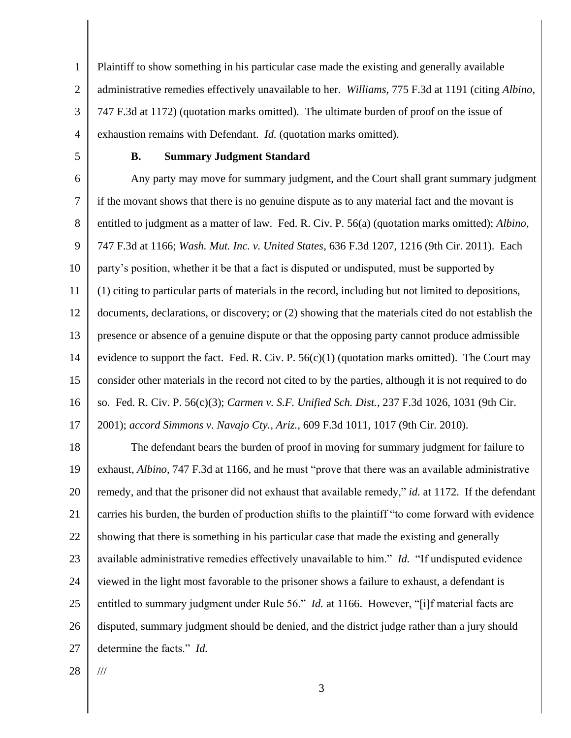1 2 3 4 Plaintiff to show something in his particular case made the existing and generally available administrative remedies effectively unavailable to her. *Williams*, 775 F.3d at 1191 (citing *Albino*, 747 F.3d at 1172) (quotation marks omitted). The ultimate burden of proof on the issue of exhaustion remains with Defendant. *Id.* (quotation marks omitted).

5

#### **B. Summary Judgment Standard**

6 7 8 9 10 11 12 13 14 15 16 Any party may move for summary judgment, and the Court shall grant summary judgment if the movant shows that there is no genuine dispute as to any material fact and the movant is entitled to judgment as a matter of law. Fed. R. Civ. P. 56(a) (quotation marks omitted); *Albino*, 747 F.3d at 1166; *Wash. Mut. Inc. v. United States*, 636 F.3d 1207, 1216 (9th Cir. 2011). Each party's position, whether it be that a fact is disputed or undisputed, must be supported by (1) citing to particular parts of materials in the record, including but not limited to depositions, documents, declarations, or discovery; or (2) showing that the materials cited do not establish the presence or absence of a genuine dispute or that the opposing party cannot produce admissible evidence to support the fact. Fed. R. Civ. P.  $56(c)(1)$  (quotation marks omitted). The Court may consider other materials in the record not cited to by the parties, although it is not required to do so. Fed. R. Civ. P. 56(c)(3); *Carmen v. S.F. Unified Sch. Dist.*, 237 F.3d 1026, 1031 (9th Cir.

17 2001); *accord Simmons v. Navajo Cty., Ariz.*, 609 F.3d 1011, 1017 (9th Cir. 2010).

18 19 20 21 22 23 24 25 26 27 The defendant bears the burden of proof in moving for summary judgment for failure to exhaust, *Albino*, 747 F.3d at 1166, and he must "prove that there was an available administrative remedy, and that the prisoner did not exhaust that available remedy," *id.* at 1172. If the defendant carries his burden, the burden of production shifts to the plaintiff "to come forward with evidence showing that there is something in his particular case that made the existing and generally available administrative remedies effectively unavailable to him." *Id.* "If undisputed evidence viewed in the light most favorable to the prisoner shows a failure to exhaust, a defendant is entitled to summary judgment under Rule 56." *Id.* at 1166. However, "[i]f material facts are disputed, summary judgment should be denied, and the district judge rather than a jury should determine the facts." *Id.*

28

///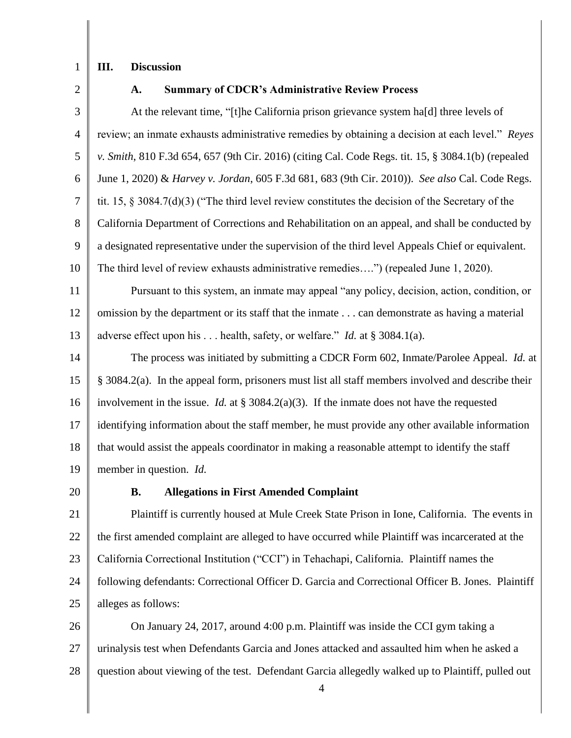1

## **III. Discussion**

2

#### **A. Summary of CDCR's Administrative Review Process**

3 4 5 6 7 8 9 10 11 12 13 14 15 16 17 At the relevant time, "[t]he California prison grievance system ha[d] three levels of review; an inmate exhausts administrative remedies by obtaining a decision at each level." *Reyes v. Smith*, 810 F.3d 654, 657 (9th Cir. 2016) (citing Cal. Code Regs. tit. 15, § 3084.1(b) (repealed June 1, 2020) & *Harvey v. Jordan*, 605 F.3d 681, 683 (9th Cir. 2010)). *See also* Cal. Code Regs. tit. 15, § 3084.7(d)(3) ("The third level review constitutes the decision of the Secretary of the California Department of Corrections and Rehabilitation on an appeal, and shall be conducted by a designated representative under the supervision of the third level Appeals Chief or equivalent. The third level of review exhausts administrative remedies….") (repealed June 1, 2020). Pursuant to this system, an inmate may appeal "any policy, decision, action, condition, or omission by the department or its staff that the inmate . . . can demonstrate as having a material adverse effect upon his . . . health, safety, or welfare." *Id.* at § 3084.1(a). The process was initiated by submitting a CDCR Form 602, Inmate/Parolee Appeal. *Id.* at § 3084.2(a). In the appeal form, prisoners must list all staff members involved and describe their involvement in the issue. *Id.* at § 3084.2(a)(3). If the inmate does not have the requested identifying information about the staff member, he must provide any other available information

19 member in question. *Id.*

20

18

## **B. Allegations in First Amended Complaint**

21 22 23 24 25 Plaintiff is currently housed at Mule Creek State Prison in Ione, California. The events in the first amended complaint are alleged to have occurred while Plaintiff was incarcerated at the California Correctional Institution ("CCI") in Tehachapi, California. Plaintiff names the following defendants: Correctional Officer D. Garcia and Correctional Officer B. Jones. Plaintiff alleges as follows:

that would assist the appeals coordinator in making a reasonable attempt to identify the staff

26 27 28 On January 24, 2017, around 4:00 p.m. Plaintiff was inside the CCI gym taking a urinalysis test when Defendants Garcia and Jones attacked and assaulted him when he asked a question about viewing of the test. Defendant Garcia allegedly walked up to Plaintiff, pulled out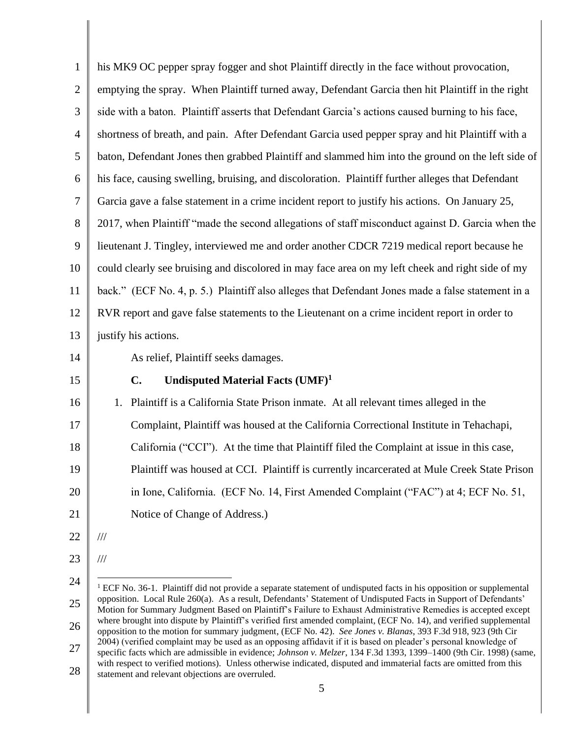| 1              | his MK9 OC pepper spray fogger and shot Plaintiff directly in the face without provocation,                                                                                                                                             |
|----------------|-----------------------------------------------------------------------------------------------------------------------------------------------------------------------------------------------------------------------------------------|
| $\overline{2}$ | emptying the spray. When Plaintiff turned away, Defendant Garcia then hit Plaintiff in the right                                                                                                                                        |
| 3              | side with a baton. Plaintiff asserts that Defendant Garcia's actions caused burning to his face,                                                                                                                                        |
| $\overline{4}$ | shortness of breath, and pain. After Defendant Garcia used pepper spray and hit Plaintiff with a                                                                                                                                        |
| 5              | baton, Defendant Jones then grabbed Plaintiff and slammed him into the ground on the left side of                                                                                                                                       |
| 6              | his face, causing swelling, bruising, and discoloration. Plaintiff further alleges that Defendant                                                                                                                                       |
| 7              | Garcia gave a false statement in a crime incident report to justify his actions. On January 25,                                                                                                                                         |
| 8              | 2017, when Plaintiff "made the second allegations of staff misconduct against D. Garcia when the                                                                                                                                        |
| 9              | lieutenant J. Tingley, interviewed me and order another CDCR 7219 medical report because he                                                                                                                                             |
| 10             | could clearly see bruising and discolored in may face area on my left cheek and right side of my                                                                                                                                        |
| 11             | back." (ECF No. 4, p. 5.) Plaintiff also alleges that Defendant Jones made a false statement in a                                                                                                                                       |
| 12             | RVR report and gave false statements to the Lieutenant on a crime incident report in order to                                                                                                                                           |
| 13             | justify his actions.                                                                                                                                                                                                                    |
| 14             | As relief, Plaintiff seeks damages.                                                                                                                                                                                                     |
| 15             | C.<br>Undisputed Material Facts (UMF) <sup>1</sup>                                                                                                                                                                                      |
| 16             | Plaintiff is a California State Prison inmate. At all relevant times alleged in the<br>1.                                                                                                                                               |
| 17             | Complaint, Plaintiff was housed at the California Correctional Institute in Tehachapi,                                                                                                                                                  |
| 18             | California ("CCI"). At the time that Plaintiff filed the Complaint at issue in this case,                                                                                                                                               |
| 19             | Plaintiff was housed at CCI. Plaintiff is currently incarcerated at Mule Creek State Prison                                                                                                                                             |
| 20             | in Ione, California. (ECF No. 14, First Amended Complaint ("FAC") at 4; ECF No. 51,                                                                                                                                                     |
| 21             | Notice of Change of Address.)                                                                                                                                                                                                           |
| 22             | $/\!/ \!/$                                                                                                                                                                                                                              |
| 23             | $/\!/ \!/$                                                                                                                                                                                                                              |
| 24             | ${}^{1}$ ECF No. 36-1. Plaintiff did not provide a separate statement of undisputed facts in his opposition or supplemental                                                                                                             |
| 25             | opposition. Local Rule 260(a). As a result, Defendants' Statement of Undisputed Facts in Support of Defendants'<br>Motion for Summary Judgment Based on Plaintiff's Failure to Exhaust Administrative Remedies is accepted except       |
| 26             | where brought into dispute by Plaintiff's verified first amended complaint, (ECF No. 14), and verified supplemental<br>opposition to the motion for summary judgment, (ECF No. 42). See Jones v. Blanas, 393 F.3d 918, 923 (9th Cir     |
| 27             | 2004) (verified complaint may be used as an opposing affidavit if it is based on pleader's personal knowledge of<br>specific facts which are admissible in evidence; Johnson v. Melzer, 134 F.3d 1393, 1399-1400 (9th Cir. 1998) (same, |
| 28             | with respect to verified motions). Unless otherwise indicated, disputed and immaterial facts are omitted from this<br>statement and relevant objections are overruled.                                                                  |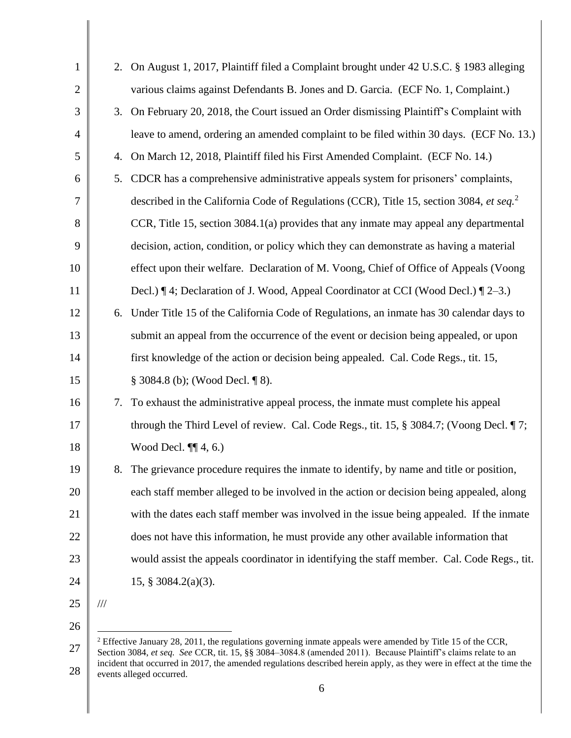| $\mathbf{1}$   | 2.            | On August 1, 2017, Plaintiff filed a Complaint brought under 42 U.S.C. § 1983 alleging                                 |
|----------------|---------------|------------------------------------------------------------------------------------------------------------------------|
| $\overline{2}$ |               | various claims against Defendants B. Jones and D. Garcia. (ECF No. 1, Complaint.)                                      |
| 3              | 3.            | On February 20, 2018, the Court issued an Order dismissing Plaintiff's Complaint with                                  |
| $\overline{4}$ |               | leave to amend, ordering an amended complaint to be filed within 30 days. (ECF No. 13.)                                |
| 5              | 4.            | On March 12, 2018, Plaintiff filed his First Amended Complaint. (ECF No. 14.)                                          |
| 6              | 5.            | CDCR has a comprehensive administrative appeals system for prisoners' complaints,                                      |
| 7              |               | described in the California Code of Regulations (CCR), Title 15, section 3084, et seq. <sup>2</sup>                    |
| 8              |               | CCR, Title 15, section 3084.1(a) provides that any inmate may appeal any departmental                                  |
| 9              |               | decision, action, condition, or policy which they can demonstrate as having a material                                 |
| 10             |               | effect upon their welfare. Declaration of M. Voong, Chief of Office of Appeals (Voong                                  |
| 11             |               | Decl.) [4; Declaration of J. Wood, Appeal Coordinator at CCI (Wood Decl.) [2–3.)                                       |
| 12             | 6.            | Under Title 15 of the California Code of Regulations, an inmate has 30 calendar days to                                |
| 13             |               | submit an appeal from the occurrence of the event or decision being appealed, or upon                                  |
| 14             |               | first knowledge of the action or decision being appealed. Cal. Code Regs., tit. 15,                                    |
| 15             |               | § 3084.8 (b); (Wood Decl. ¶ 8).                                                                                        |
| 16             | 7.            | To exhaust the administrative appeal process, the inmate must complete his appeal                                      |
| 17             |               | through the Third Level of review. Cal. Code Regs., tit. 15, § 3084.7; (Voong Decl. ¶ 7;                               |
| 18             |               | Wood Decl. $\P\P$ 4, 6.)                                                                                               |
| 19             |               | The grievance procedure requires the inmate to identify, by name and title or position,                                |
| 20             |               | each staff member alleged to be involved in the action or decision being appealed, along                               |
| 21             |               | with the dates each staff member was involved in the issue being appealed. If the inmate                               |
| 22             |               | does not have this information, he must provide any other available information that                                   |
| 23             |               | would assist the appeals coordinator in identifying the staff member. Cal. Code Regs., tit.                            |
| 24             |               | 15, $§$ 3084.2(a)(3).                                                                                                  |
| 25             | $\frac{1}{1}$ |                                                                                                                        |
| 26             |               |                                                                                                                        |
|                |               | <sup>2</sup> Effective January 28, 2011, the regulations governing inmate appeals were amended by Title 15 of the CCR, |

<sup>27</sup> 28 Section 3084, *et seq. See* CCR, tit. 15, §§ 3084–3084.8 (amended 2011). Because Plaintiff's claims relate to an incident that occurred in 2017, the amended regulations described herein apply, as they were in effect at the time the events alleged occurred.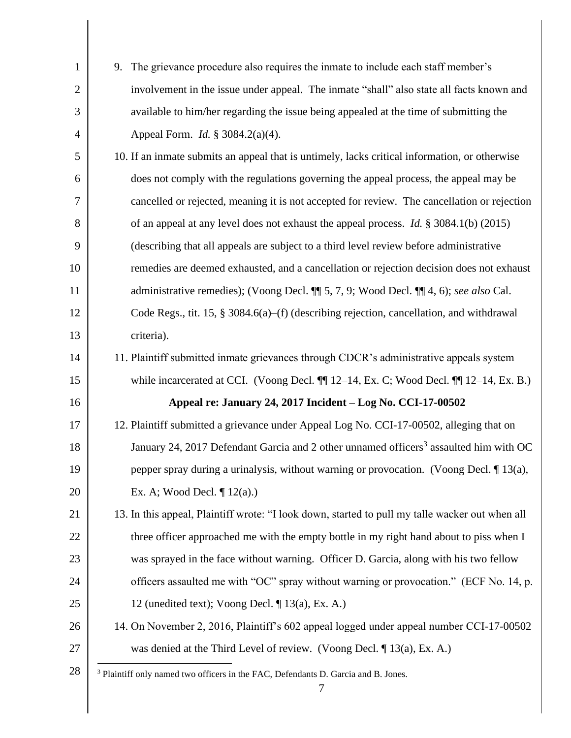| $\mathbf{1}$   | 9. The grievance procedure also requires the inmate to include each staff member's                |
|----------------|---------------------------------------------------------------------------------------------------|
| $\overline{2}$ | involvement in the issue under appeal. The inmate "shall" also state all facts known and          |
| 3              | available to him/her regarding the issue being appealed at the time of submitting the             |
| $\overline{4}$ | Appeal Form. <i>Id.</i> § 3084.2(a)(4).                                                           |
| 5              | 10. If an inmate submits an appeal that is untimely, lacks critical information, or otherwise     |
| 6              | does not comply with the regulations governing the appeal process, the appeal may be              |
| 7              | cancelled or rejected, meaning it is not accepted for review. The cancellation or rejection       |
| 8              | of an appeal at any level does not exhaust the appeal process. <i>Id.</i> § 3084.1(b) (2015)      |
| 9              | (describing that all appeals are subject to a third level review before administrative            |
| 10             | remedies are deemed exhausted, and a cancellation or rejection decision does not exhaust          |
| 11             | administrative remedies); (Voong Decl. ¶ 5, 7, 9; Wood Decl. ¶ 4, 6); see also Cal.               |
| 12             | Code Regs., tit. 15, § 3084.6(a)–(f) (describing rejection, cancellation, and withdrawal          |
| 13             | criteria).                                                                                        |
| 14             | 11. Plaintiff submitted inmate grievances through CDCR's administrative appeals system            |
| 15             | while incarcerated at CCI. (Voong Decl. ¶ 12-14, Ex. C; Wood Decl. ¶ 12-14, Ex. B.)               |
| 16             | Appeal re: January 24, 2017 Incident - Log No. CCI-17-00502                                       |
| 17             | 12. Plaintiff submitted a grievance under Appeal Log No. CCI-17-00502, alleging that on           |
| 18             | January 24, 2017 Defendant Garcia and 2 other unnamed officers <sup>3</sup> assaulted him with OC |
| 19             | pepper spray during a urinalysis, without warning or provocation. (Voong Decl. $\P$ 13(a),        |
| 20             | Ex. A; Wood Decl. $\P$ 12(a).)                                                                    |
| 21             | 13. In this appeal, Plaintiff wrote: "I look down, started to pull my talle wacker out when all   |
| 22             | three officer approached me with the empty bottle in my right hand about to piss when I           |
| 23             | was sprayed in the face without warning. Officer D. Garcia, along with his two fellow             |
| 24             | officers assaulted me with "OC" spray without warning or provocation." (ECF No. 14, p.            |
| 25             | 12 (unedited text); Voong Decl. $\P$ 13(a), Ex. A.)                                               |
| 26             | 14. On November 2, 2016, Plaintiff's 602 appeal logged under appeal number CCI-17-00502           |
| 27             | was denied at the Third Level of review. (Voong Decl. $\P$ 13(a), Ex. A.)                         |
| 28             | <sup>3</sup> Plaintiff only named two officers in the FAC, Defendants D. Garcia and B. Jones.     |
|                | $\tau$                                                                                            |

║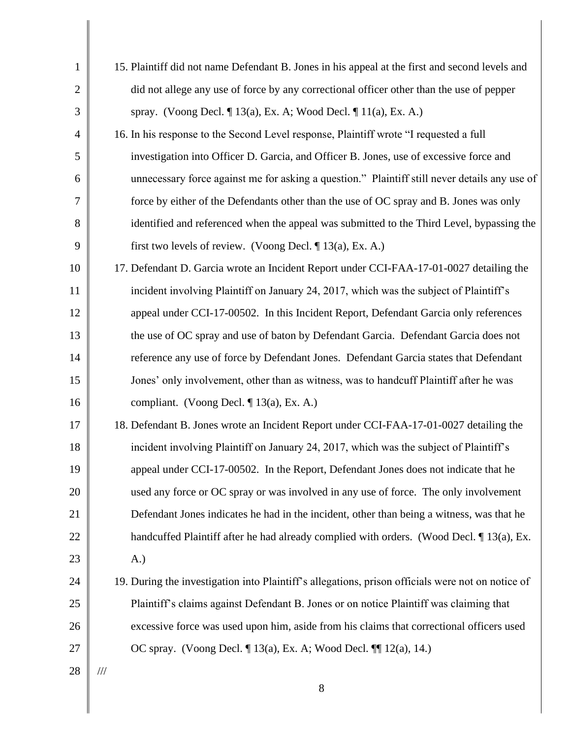| $\mathbf{1}$   | 15. Plaintiff did not name Defendant B. Jones in his appeal at the first and second levels and    |
|----------------|---------------------------------------------------------------------------------------------------|
| $\overline{2}$ | did not allege any use of force by any correctional officer other than the use of pepper          |
| 3              | spray. (Voong Decl. $\P$ 13(a), Ex. A; Wood Decl. $\P$ 11(a), Ex. A.)                             |
| $\overline{4}$ | 16. In his response to the Second Level response, Plaintiff wrote "I requested a full             |
| 5              | investigation into Officer D. Garcia, and Officer B. Jones, use of excessive force and            |
| 6              | unnecessary force against me for asking a question." Plaintiff still never details any use of     |
| 7              | force by either of the Defendants other than the use of OC spray and B. Jones was only            |
| 8              | identified and referenced when the appeal was submitted to the Third Level, bypassing the         |
| 9              | first two levels of review. (Voong Decl. $\P$ 13(a), Ex. A.)                                      |
| 10             | 17. Defendant D. Garcia wrote an Incident Report under CCI-FAA-17-01-0027 detailing the           |
| 11             | incident involving Plaintiff on January 24, 2017, which was the subject of Plaintiff's            |
| 12             | appeal under CCI-17-00502. In this Incident Report, Defendant Garcia only references              |
| 13             | the use of OC spray and use of baton by Defendant Garcia. Defendant Garcia does not               |
| 14             | reference any use of force by Defendant Jones. Defendant Garcia states that Defendant             |
| 15             | Jones' only involvement, other than as witness, was to handcuff Plaintiff after he was            |
| 16             | compliant. (Voong Decl. ¶ 13(a), Ex. A.)                                                          |
| 17             | 18. Defendant B. Jones wrote an Incident Report under CCI-FAA-17-01-0027 detailing the            |
| 18             | incident involving Plaintiff on January 24, 2017, which was the subject of Plaintiff's            |
| 19             | appeal under CCI-17-00502. In the Report, Defendant Jones does not indicate that he               |
| 20             | used any force or OC spray or was involved in any use of force. The only involvement              |
| 21             | Defendant Jones indicates he had in the incident, other than being a witness, was that he         |
| 22             | handcuffed Plaintiff after he had already complied with orders. (Wood Decl. 1 13(a), Ex.          |
| 23             | A.)                                                                                               |
| 24             | 19. During the investigation into Plaintiff's allegations, prison officials were not on notice of |
| 25             | Plaintiff's claims against Defendant B. Jones or on notice Plaintiff was claiming that            |
| 26             | excessive force was used upon him, aside from his claims that correctional officers used          |
| 27             | OC spray. (Voong Decl. $\P$ 13(a), Ex. A; Wood Decl. $\P$ 12(a), 14.)                             |
| 28             | $/\!/ \!/$                                                                                        |
|                | 8                                                                                                 |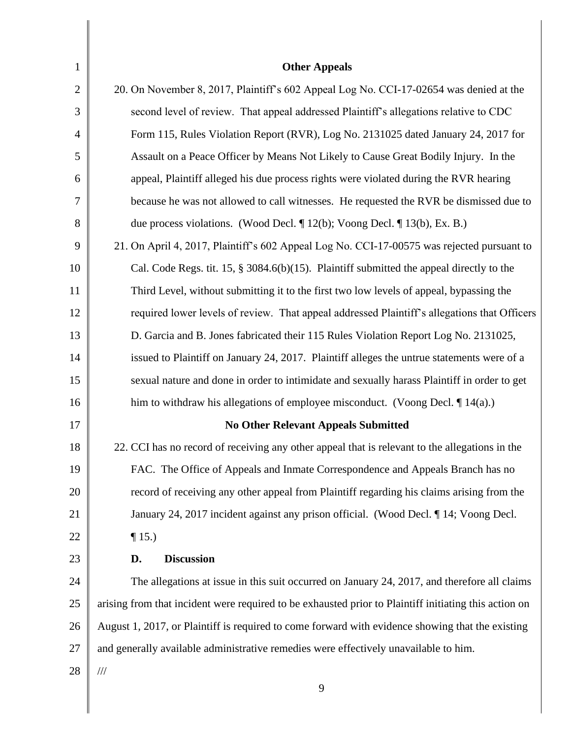| $\mathbf{1}$   | <b>Other Appeals</b>                                                                                  |
|----------------|-------------------------------------------------------------------------------------------------------|
| $\overline{2}$ | 20. On November 8, 2017, Plaintiff's 602 Appeal Log No. CCI-17-02654 was denied at the                |
| 3              | second level of review. That appeal addressed Plaintiff's allegations relative to CDC                 |
| $\overline{4}$ | Form 115, Rules Violation Report (RVR), Log No. 2131025 dated January 24, 2017 for                    |
| 5              | Assault on a Peace Officer by Means Not Likely to Cause Great Bodily Injury. In the                   |
| 6              | appeal, Plaintiff alleged his due process rights were violated during the RVR hearing                 |
| 7              | because he was not allowed to call witnesses. He requested the RVR be dismissed due to                |
| 8              | due process violations. (Wood Decl. $\P$ 12(b); Voong Decl. $\P$ 13(b), Ex. B.)                       |
| 9              | 21. On April 4, 2017, Plaintiff's 602 Appeal Log No. CCI-17-00575 was rejected pursuant to            |
| 10             | Cal. Code Regs. tit. 15, $\S 3084.6(b)(15)$ . Plaintiff submitted the appeal directly to the          |
| 11             | Third Level, without submitting it to the first two low levels of appeal, bypassing the               |
| 12             | required lower levels of review. That appeal addressed Plaintiff's allegations that Officers          |
| 13             | D. Garcia and B. Jones fabricated their 115 Rules Violation Report Log No. 2131025,                   |
| 14             | issued to Plaintiff on January 24, 2017. Plaintiff alleges the untrue statements were of a            |
| 15             | sexual nature and done in order to intimidate and sexually harass Plaintiff in order to get           |
| 16             | him to withdraw his allegations of employee misconduct. (Voong Decl. $\P$ 14(a).)                     |
| 17             | <b>No Other Relevant Appeals Submitted</b>                                                            |
| 18             | 22. CCI has no record of receiving any other appeal that is relevant to the allegations in the        |
| 19             | FAC. The Office of Appeals and Inmate Correspondence and Appeals Branch has no                        |
| 20             | record of receiving any other appeal from Plaintiff regarding his claims arising from the             |
| 21             | January 24, 2017 incident against any prison official. (Wood Decl. 14; Voong Decl.                    |
| 22             | $\P$ 15.)                                                                                             |
| 23             | <b>Discussion</b><br>D.                                                                               |
| 24             | The allegations at issue in this suit occurred on January 24, 2017, and therefore all claims          |
| 25             | arising from that incident were required to be exhausted prior to Plaintiff initiating this action on |
| 26             | August 1, 2017, or Plaintiff is required to come forward with evidence showing that the existing      |
| 27             | and generally available administrative remedies were effectively unavailable to him.                  |
| 28             | $\frac{1}{1}$                                                                                         |
|                | 9                                                                                                     |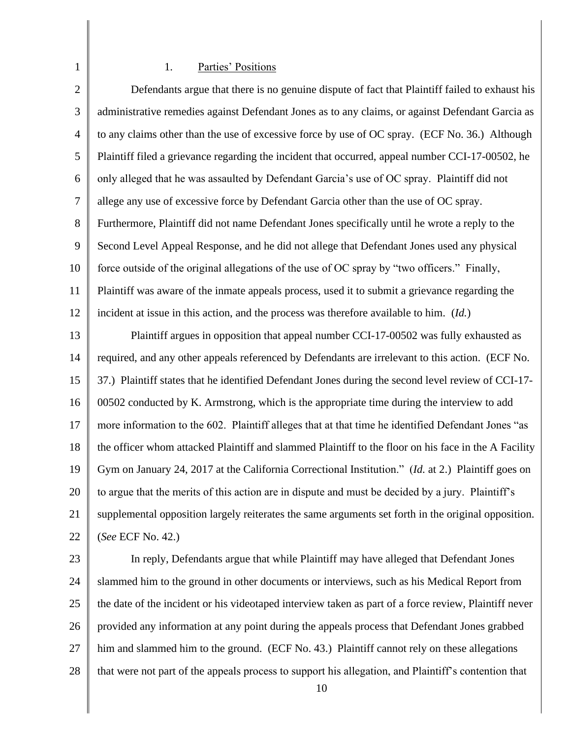# 1. Parties' Positions

1

| $\overline{2}$ | Defendants argue that there is no genuine dispute of fact that Plaintiff failed to exhaust his        |
|----------------|-------------------------------------------------------------------------------------------------------|
| $\mathfrak{Z}$ | administrative remedies against Defendant Jones as to any claims, or against Defendant Garcia as      |
| $\overline{4}$ | to any claims other than the use of excessive force by use of OC spray. (ECF No. 36.) Although        |
| 5              | Plaintiff filed a grievance regarding the incident that occurred, appeal number CCI-17-00502, he      |
| 6              | only alleged that he was assaulted by Defendant Garcia's use of OC spray. Plaintiff did not           |
| 7              | allege any use of excessive force by Defendant Garcia other than the use of OC spray.                 |
| 8              | Furthermore, Plaintiff did not name Defendant Jones specifically until he wrote a reply to the        |
| 9              | Second Level Appeal Response, and he did not allege that Defendant Jones used any physical            |
| 10             | force outside of the original allegations of the use of OC spray by "two officers." Finally,          |
| 11             | Plaintiff was aware of the inmate appeals process, used it to submit a grievance regarding the        |
| 12             | incident at issue in this action, and the process was therefore available to him. (Id.)               |
| 13             | Plaintiff argues in opposition that appeal number CCI-17-00502 was fully exhausted as                 |
| 14             | required, and any other appeals referenced by Defendants are irrelevant to this action. (ECF No.      |
| 15             | 37.) Plaintiff states that he identified Defendant Jones during the second level review of CCI-17-    |
| 16             | 00502 conducted by K. Armstrong, which is the appropriate time during the interview to add            |
| 17             | more information to the 602. Plaintiff alleges that at that time he identified Defendant Jones "as    |
| 18             | the officer whom attacked Plaintiff and slammed Plaintiff to the floor on his face in the A Facility  |
| 19             | Gym on January 24, 2017 at the California Correctional Institution." (Id. at 2.) Plaintiff goes on    |
| 20             | to argue that the merits of this action are in dispute and must be decided by a jury. Plaintiff's     |
| 21             | supplemental opposition largely reiterates the same arguments set forth in the original opposition.   |
| 22             | (See ECF No. 42.)                                                                                     |
| 23             | In reply, Defendants argue that while Plaintiff may have alleged that Defendant Jones                 |
| 24             | slammed him to the ground in other documents or interviews, such as his Medical Report from           |
| 25             | the date of the incident or his videotaped interview taken as part of a force review, Plaintiff never |

26 provided any information at any point during the appeals process that Defendant Jones grabbed

- 27 him and slammed him to the ground. (ECF No. 43.) Plaintiff cannot rely on these allegations
- 28 that were not part of the appeals process to support his allegation, and Plaintiff's contention that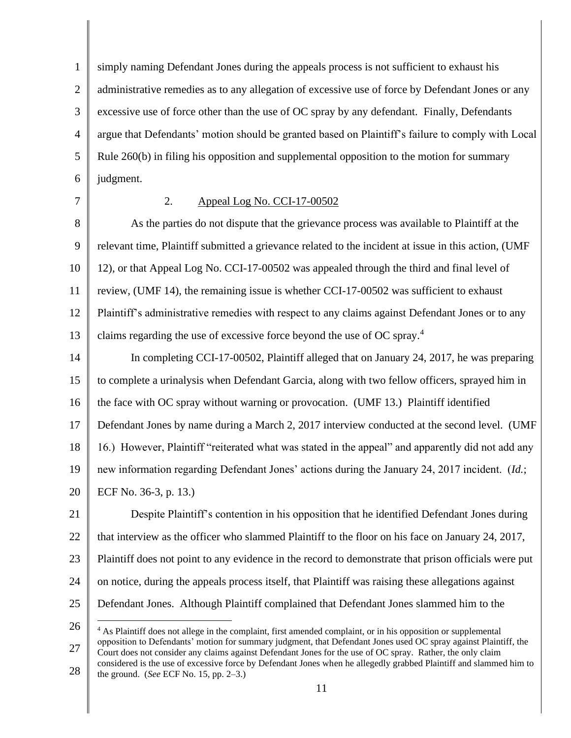1 2 3 4 5 6 simply naming Defendant Jones during the appeals process is not sufficient to exhaust his administrative remedies as to any allegation of excessive use of force by Defendant Jones or any excessive use of force other than the use of OC spray by any defendant. Finally, Defendants argue that Defendants' motion should be granted based on Plaintiff's failure to comply with Local Rule 260(b) in filing his opposition and supplemental opposition to the motion for summary judgment.

7

## 2. Appeal Log No. CCI-17-00502

8 9 10 11 12 13 As the parties do not dispute that the grievance process was available to Plaintiff at the relevant time, Plaintiff submitted a grievance related to the incident at issue in this action, (UMF 12), or that Appeal Log No. CCI-17-00502 was appealed through the third and final level of review, (UMF 14), the remaining issue is whether CCI-17-00502 was sufficient to exhaust Plaintiff's administrative remedies with respect to any claims against Defendant Jones or to any claims regarding the use of excessive force beyond the use of OC spray.<sup>4</sup>

14 15 16 17 In completing CCI-17-00502, Plaintiff alleged that on January 24, 2017, he was preparing to complete a urinalysis when Defendant Garcia, along with two fellow officers, sprayed him in the face with OC spray without warning or provocation. (UMF 13.) Plaintiff identified Defendant Jones by name during a March 2, 2017 interview conducted at the second level. (UMF

18 16.) However, Plaintiff "reiterated what was stated in the appeal" and apparently did not add any

19 new information regarding Defendant Jones' actions during the January 24, 2017 incident. (*Id.*;

20 ECF No. 36-3, p. 13.)

21 22 23 24 25 Despite Plaintiff's contention in his opposition that he identified Defendant Jones during that interview as the officer who slammed Plaintiff to the floor on his face on January 24, 2017, Plaintiff does not point to any evidence in the record to demonstrate that prison officials were put on notice, during the appeals process itself, that Plaintiff was raising these allegations against Defendant Jones. Although Plaintiff complained that Defendant Jones slammed him to the

27 <sup>4</sup> As Plaintiff does not allege in the complaint, first amended complaint, or in his opposition or supplemental opposition to Defendants' motion for summary judgment, that Defendant Jones used OC spray against Plaintiff, the Court does not consider any claims against Defendant Jones for the use of OC spray. Rather, the only claim considered is the use of excessive force by Defendant Jones when he allegedly grabbed Plaintiff and slammed him to

28 the ground. (*See* ECF No. 15, pp. 2–3.)

<sup>26</sup>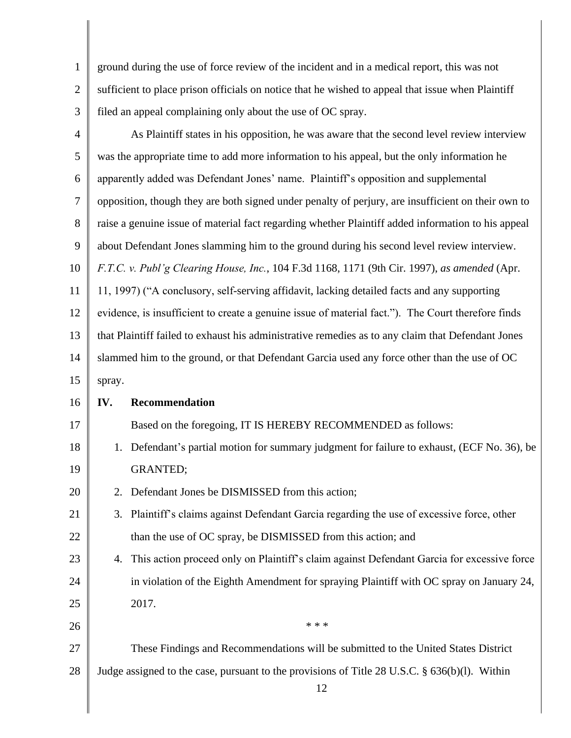| $\mathbf{1}$   | ground during the use of force review of the incident and in a medical report, this was not        |
|----------------|----------------------------------------------------------------------------------------------------|
| $\overline{2}$ | sufficient to place prison officials on notice that he wished to appeal that issue when Plaintiff  |
| 3              | filed an appeal complaining only about the use of OC spray.                                        |
| 4              | As Plaintiff states in his opposition, he was aware that the second level review interview         |
| 5              | was the appropriate time to add more information to his appeal, but the only information he        |
| 6              | apparently added was Defendant Jones' name. Plaintiff's opposition and supplemental                |
| 7              | opposition, though they are both signed under penalty of perjury, are insufficient on their own to |
| 8              | raise a genuine issue of material fact regarding whether Plaintiff added information to his appeal |
| 9              | about Defendant Jones slamming him to the ground during his second level review interview.         |
| 10             | F.T.C. v. Publ'g Clearing House, Inc., 104 F.3d 1168, 1171 (9th Cir. 1997), as amended (Apr.       |
| 11             | 11, 1997) ("A conclusory, self-serving affidavit, lacking detailed facts and any supporting        |
| 12             | evidence, is insufficient to create a genuine issue of material fact."). The Court therefore finds |
| 13             | that Plaintiff failed to exhaust his administrative remedies as to any claim that Defendant Jones  |
| 14             | slammed him to the ground, or that Defendant Garcia used any force other than the use of OC        |
| 15             | spray.                                                                                             |
| 16             | Recommendation<br>IV.                                                                              |
| 17             | Based on the foregoing, IT IS HEREBY RECOMMENDED as follows:                                       |
| 18             | Defendant's partial motion for summary judgment for failure to exhaust, (ECF No. 36), be<br>1.     |
| 19             | <b>GRANTED;</b>                                                                                    |
| 20             | Defendant Jones be DISMISSED from this action;<br>2.                                               |
| 21             | Plaintiff's claims against Defendant Garcia regarding the use of excessive force, other<br>3.      |
| 22             | than the use of OC spray, be DISMISSED from this action; and                                       |

23 24 25 4. This action proceed only on Plaintiff's claim against Defendant Garcia for excessive force in violation of the Eighth Amendment for spraying Plaintiff with OC spray on January 24, 2017.

26 27 28 \* \* \* These Findings and Recommendations will be submitted to the United States District Judge assigned to the case, pursuant to the provisions of Title 28 U.S.C. § 636(b)(l). Within